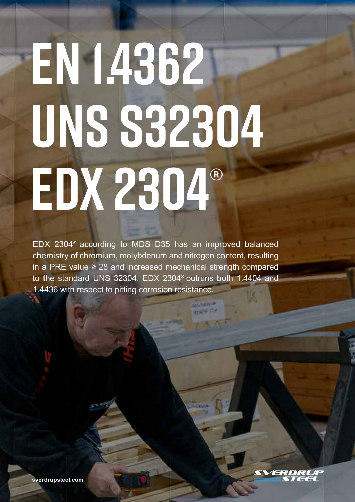# **EN 1.4362 UNS S32304 EDX 2304**

EDX 2304<sup>®</sup> according to MDS D35 has an improved balanced chemistry of chromium, molybdenum and nitrogen content, resulting in a PRE value ≥ 28 and increased mechanical strength compared to the standard UNS 32304. EDX 2304<sup>®</sup> outruns both 1.4404 and 1.4436 with respect to pitting corrosion resistance.

**TIME FIX**